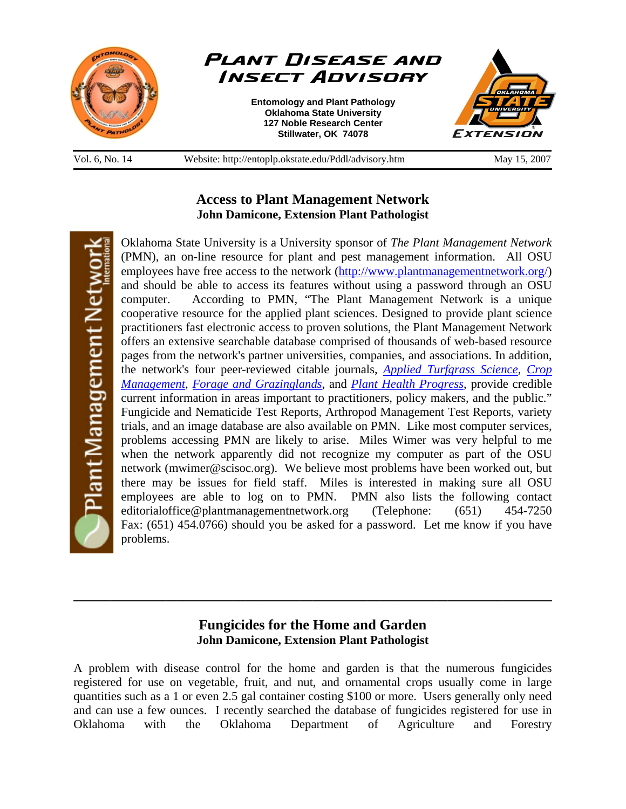



**Entomology and Plant Pathology Oklahoma State University 127 Noble Research Center Stillwater, OK 74078** 



Vol. 6, No. 14 Website: http://entoplp.okstate.edu/Pddl/advisory.htm May 15, 2007

## **Access to Plant Management Network John Damicone, Extension Plant Pathologist**

Plant Management Netwo

Oklahoma State University is a University sponsor of *The Plant Management Network*  (PMN), an on-line resource for plant and pest management information. All OSU employees have free access to the network (http://www.plantmanagementnetwork.org/) and should be able to access its features without using a password through an OSU computer. According to PMN, "The Plant Management Network is a unique cooperative resource for the applied plant sciences. Designed to provide plant science practitioners fast electronic access to proven solutions, the Plant Management Network offers an extensive searchable database comprised of thousands of web-based resource pages from the network's partner universities, companies, and associations. In addition, the network's four peer-reviewed citable journals, *Applied Turfgrass Science*, *Crop Management*, *Forage and Grazinglands*, and *Plant Health Progress*, provide credible current information in areas important to practitioners, policy makers, and the public." Fungicide and Nematicide Test Reports, Arthropod Management Test Reports, variety trials, and an image database are also available on PMN. Like most computer services, problems accessing PMN are likely to arise. Miles Wimer was very helpful to me when the network apparently did not recognize my computer as part of the OSU network (mwimer@scisoc.org). We believe most problems have been worked out, but there may be issues for field staff. Miles is interested in making sure all OSU employees are able to log on to PMN. PMN also lists the following contact editorialoffice@plantmanagementnetwork.org (Telephone: (651) 454-7250 Fax: (651) 454.0766) should you be asked for a password.Let me know if you have problems.

## **Fungicides for the Home and Garden John Damicone, Extension Plant Pathologist**

\_\_\_\_\_\_\_\_\_\_\_\_\_\_\_\_\_\_\_\_\_\_\_\_\_\_\_\_\_\_\_\_\_\_\_\_\_\_\_\_\_\_\_\_\_\_\_\_\_\_\_\_\_\_\_\_\_\_\_\_\_\_\_\_\_\_\_\_\_\_\_\_\_\_\_\_\_\_

A problem with disease control for the home and garden is that the numerous fungicides registered for use on vegetable, fruit, and nut, and ornamental crops usually come in large quantities such as a 1 or even 2.5 gal container costing \$100 or more. Users generally only need and can use a few ounces. I recently searched the database of fungicides registered for use in Oklahoma with the Oklahoma Department of Agriculture and Forestry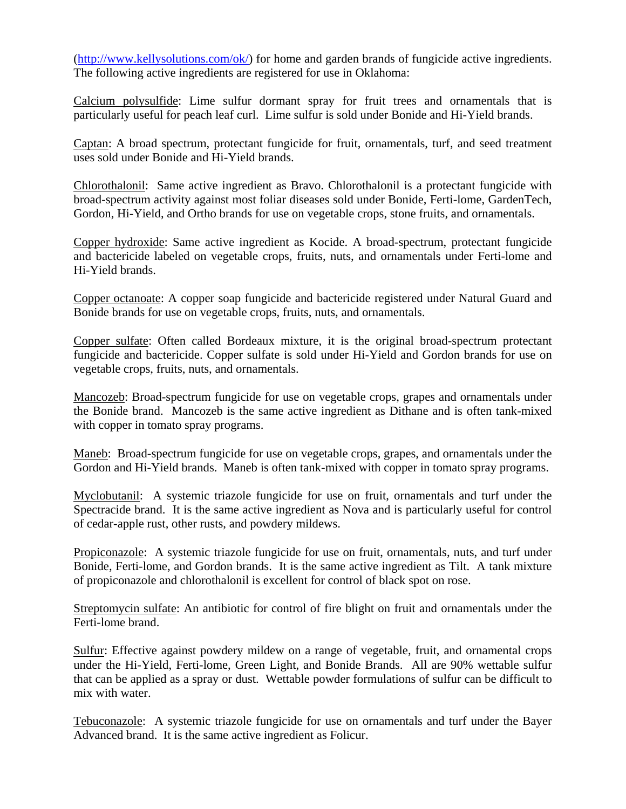(http://www.kellysolutions.com/ok/) for home and garden brands of fungicide active ingredients. The following active ingredients are registered for use in Oklahoma:

Calcium polysulfide: Lime sulfur dormant spray for fruit trees and ornamentals that is particularly useful for peach leaf curl. Lime sulfur is sold under Bonide and Hi-Yield brands.

Captan: A broad spectrum, protectant fungicide for fruit, ornamentals, turf, and seed treatment uses sold under Bonide and Hi-Yield brands.

Chlorothalonil: Same active ingredient as Bravo. Chlorothalonil is a protectant fungicide with broad-spectrum activity against most foliar diseases sold under Bonide, Ferti-lome, GardenTech, Gordon, Hi-Yield, and Ortho brands for use on vegetable crops, stone fruits, and ornamentals.

Copper hydroxide: Same active ingredient as Kocide. A broad-spectrum, protectant fungicide and bactericide labeled on vegetable crops, fruits, nuts, and ornamentals under Ferti-lome and Hi-Yield brands.

Copper octanoate: A copper soap fungicide and bactericide registered under Natural Guard and Bonide brands for use on vegetable crops, fruits, nuts, and ornamentals.

Copper sulfate: Often called Bordeaux mixture, it is the original broad-spectrum protectant fungicide and bactericide. Copper sulfate is sold under Hi-Yield and Gordon brands for use on vegetable crops, fruits, nuts, and ornamentals.

Mancozeb: Broad-spectrum fungicide for use on vegetable crops, grapes and ornamentals under the Bonide brand. Mancozeb is the same active ingredient as Dithane and is often tank-mixed with copper in tomato spray programs.

Maneb: Broad-spectrum fungicide for use on vegetable crops, grapes, and ornamentals under the Gordon and Hi-Yield brands. Maneb is often tank-mixed with copper in tomato spray programs.

Myclobutanil: A systemic triazole fungicide for use on fruit, ornamentals and turf under the Spectracide brand. It is the same active ingredient as Nova and is particularly useful for control of cedar-apple rust, other rusts, and powdery mildews.

Propiconazole: A systemic triazole fungicide for use on fruit, ornamentals, nuts, and turf under Bonide, Ferti-lome, and Gordon brands. It is the same active ingredient as Tilt. A tank mixture of propiconazole and chlorothalonil is excellent for control of black spot on rose.

Streptomycin sulfate: An antibiotic for control of fire blight on fruit and ornamentals under the Ferti-lome brand.

Sulfur: Effective against powdery mildew on a range of vegetable, fruit, and ornamental crops under the Hi-Yield, Ferti-lome, Green Light, and Bonide Brands. All are 90% wettable sulfur that can be applied as a spray or dust. Wettable powder formulations of sulfur can be difficult to mix with water.

Tebuconazole: A systemic triazole fungicide for use on ornamentals and turf under the Bayer Advanced brand. It is the same active ingredient as Folicur.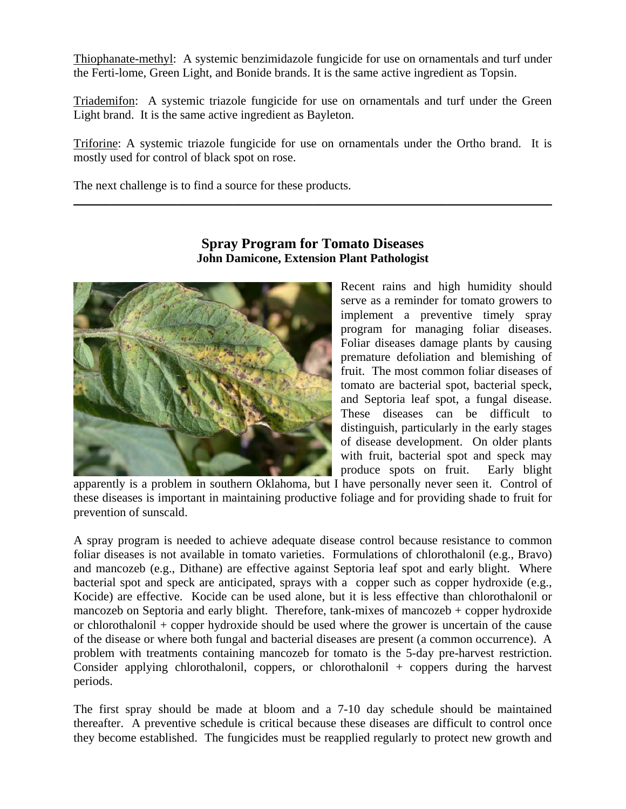Thiophanate-methyl: A systemic benzimidazole fungicide for use on ornamentals and turf under the Ferti-lome, Green Light, and Bonide brands. It is the same active ingredient as Topsin.

Triademifon: A systemic triazole fungicide for use on ornamentals and turf under the Green Light brand. It is the same active ingredient as Bayleton.

Triforine: A systemic triazole fungicide for use on ornamentals under the Ortho brand. It is mostly used for control of black spot on rose.

\_\_\_\_\_\_\_\_\_\_\_\_\_\_\_\_\_\_\_\_\_\_\_\_\_\_\_\_\_\_\_\_\_\_\_\_\_\_\_\_\_\_\_\_\_\_\_\_\_\_\_\_\_\_\_\_\_\_\_\_\_\_\_\_\_\_\_\_\_\_\_\_\_\_\_\_\_\_

The next challenge is to find a source for these products.



## **Spray Program for Tomato Diseases John Damicone, Extension Plant Pathologist**

Recent rains and high humidity should serve as a reminder for tomato growers to implement a preventive timely spray program for managing foliar diseases. Foliar diseases damage plants by causing premature defoliation and blemishing of fruit. The most common foliar diseases of tomato are bacterial spot, bacterial speck, and Septoria leaf spot, a fungal disease. These diseases can be difficult to distinguish, particularly in the early stages of disease development. On older plants with fruit, bacterial spot and speck may produce spots on fruit. Early blight

apparently is a problem in southern Oklahoma, but I have personally never seen it. Control of these diseases is important in maintaining productive foliage and for providing shade to fruit for prevention of sunscald.

A spray program is needed to achieve adequate disease control because resistance to common foliar diseases is not available in tomato varieties. Formulations of chlorothalonil (e.g., Bravo) and mancozeb (e.g., Dithane) are effective against Septoria leaf spot and early blight. Where bacterial spot and speck are anticipated, sprays with a copper such as copper hydroxide (e.g., Kocide) are effective. Kocide can be used alone, but it is less effective than chlorothalonil or mancozeb on Septoria and early blight. Therefore, tank-mixes of mancozeb + copper hydroxide or chlorothalonil + copper hydroxide should be used where the grower is uncertain of the cause of the disease or where both fungal and bacterial diseases are present (a common occurrence). A problem with treatments containing mancozeb for tomato is the 5-day pre-harvest restriction. Consider applying chlorothalonil, coppers, or chlorothalonil + coppers during the harvest periods.

The first spray should be made at bloom and a 7-10 day schedule should be maintained thereafter. A preventive schedule is critical because these diseases are difficult to control once they become established. The fungicides must be reapplied regularly to protect new growth and